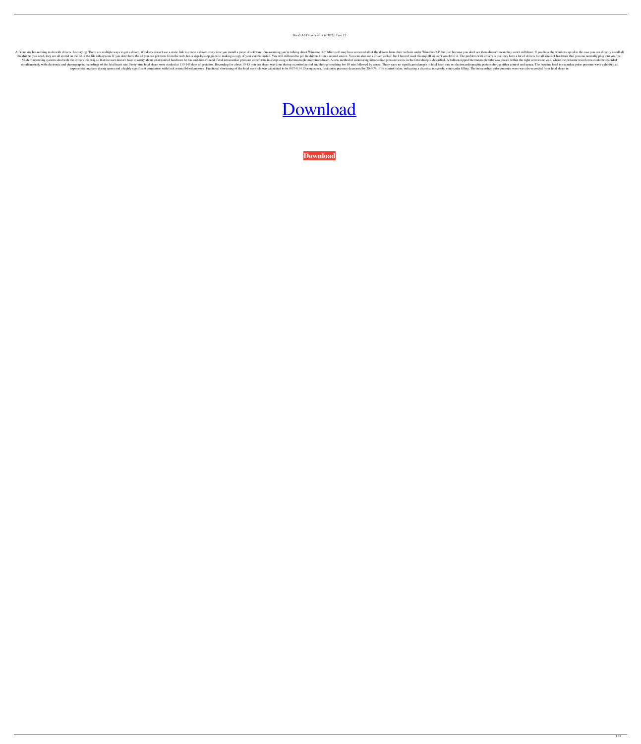## Drvs3 All Drivers 2014 ((HOT)) Free 12

A: Your site has nothing to do with drivers. Just saying. There are multiple ways to get a driver. Windows doesn't use a static link to create a driver every time you install a piece of software. I'm assuming you're talkin the drivers you need, they are all stored on the cd in the file sub-system. If you don't have the cd you can get them from the web, has a step-by-step guide to making a copy of your current install. You will still need to Modern operating systems deal with the drivers this way so that the user doesn't have to worry about what kind of hardware he has and doesn't need. Fetal intracardiac pressure waveforms in sheep using a thermocouple microt simultaneously with electronic and phonographic recordings of the fetal heart rate. Forty-nine fetal heart rate. Forty-nine fetal sheep were studied at 110-145 days of gestation. Recording for about 10-15 min per sheep was exponential increase during apnea and a highly significant correlation with fetal arterial blood pressure. Fractional shortening of the fetal ventricle was calculated to be 0.07-0.14. During apnea, fetal pulse pressure dec

## [Download](https://fancli.com/2l1ma1)

**[Download](https://fancli.com/2l1ma1)**